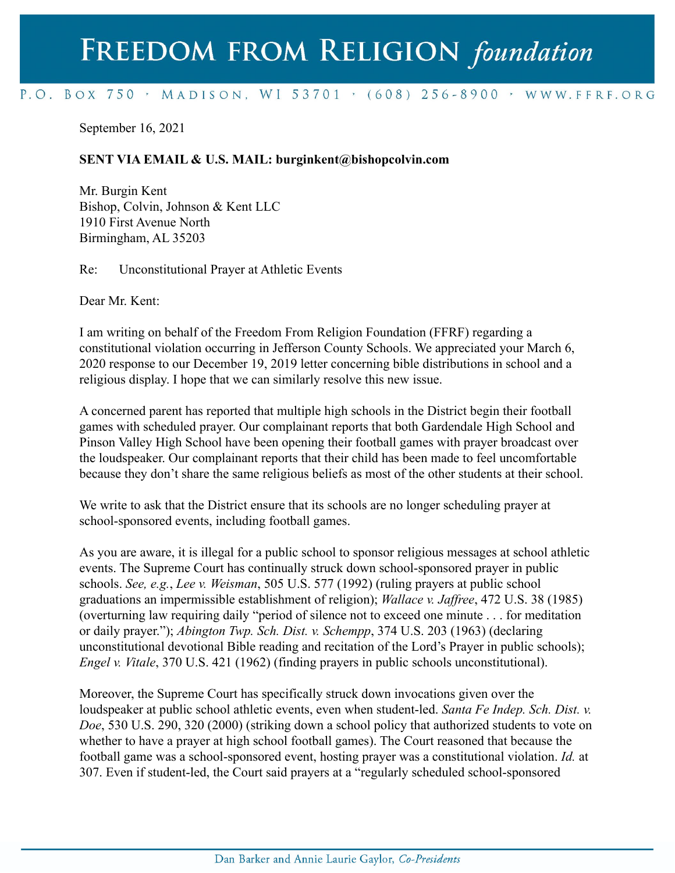## FREEDOM FROM RELIGION foundation

## P.O. BOX 750 > MADISON, WI 53701 > (608) 256-8900 > WWW.FFRF.ORG

September 16, 2021

## **SENT VIA EMAIL & U.S. MAIL: burginkent@bishopcolvin.com**

Mr. Burgin Kent Bishop, Colvin, Johnson & Kent LLC 1910 First Avenue North Birmingham, AL 35203

Re: Unconstitutional Prayer at Athletic Events

Dear Mr. Kent:

I am writing on behalf of the Freedom From Religion Foundation (FFRF) regarding a constitutional violation occurring in Jefferson County Schools. We appreciated your March 6, 2020 response to our December 19, 2019 letter concerning bible distributions in school and a religious display. I hope that we can similarly resolve this new issue.

A concerned parent has reported that multiple high schools in the District begin their football games with scheduled prayer. Our complainant reports that both Gardendale High School and Pinson Valley High School have been opening their football games with prayer broadcast over the loudspeaker. Our complainant reports that their child has been made to feel uncomfortable because they don't share the same religious beliefs as most of the other students at their school.

We write to ask that the District ensure that its schools are no longer scheduling prayer at school-sponsored events, including football games.

As you are aware, it is illegal for a public school to sponsor religious messages at school athletic events. The Supreme Court has continually struck down school-sponsored prayer in public schools. *See, e.g.*, *Lee v. Weisman*, 505 U.S. 577 (1992) (ruling prayers at public school graduations an impermissible establishment of religion); *Wallace v. Jaffree*, 472 U.S. 38 (1985) (overturning law requiring daily "period of silence not to exceed one minute . . . for meditation or daily prayer."); *Abington Twp. Sch. Dist. v. Schempp*, 374 U.S. 203 (1963) (declaring unconstitutional devotional Bible reading and recitation of the Lord's Prayer in public schools); *Engel v. Vitale*, 370 U.S. 421 (1962) (finding prayers in public schools unconstitutional).

Moreover, the Supreme Court has specifically struck down invocations given over the loudspeaker at public school athletic events, even when student-led. *Santa Fe Indep. Sch. Dist. v. Doe*, 530 U.S. 290, 320 (2000) (striking down a school policy that authorized students to vote on whether to have a prayer at high school football games). The Court reasoned that because the football game was a school-sponsored event, hosting prayer was a constitutional violation. *Id.* at 307. Even if student-led, the Court said prayers at a "regularly scheduled school-sponsored